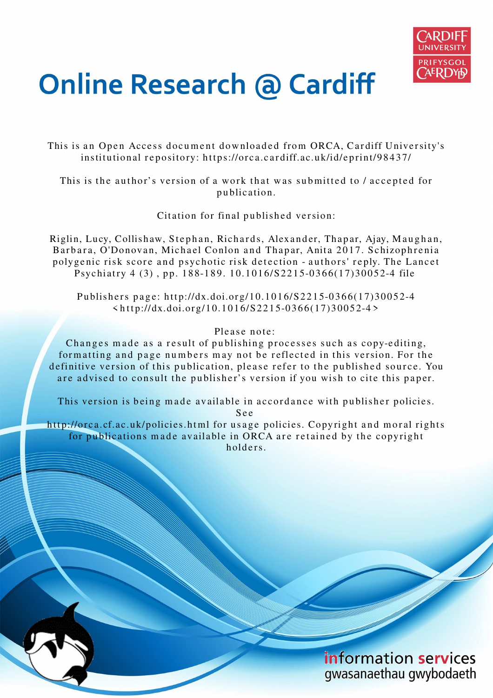

## **Online Research @ Cardiff**

This is an Open Access document downloaded from ORCA, Cardiff University's institutional repository: https://orca.cardiff.ac.uk/id/eprint/98437/

This is the author's version of a work that was submitted to / accepted for p u blication.

Citation for final published version:

Riglin, Lucy, Collishaw, Stephan, Richards, Alexander, Thapar, Ajay, Maughan, Barbara, O'Donovan, Michael Conlon and Thapar, Anita 2017. Schizophrenia polygenic risk score and psychotic risk detection - authors' reply. The Lancet Psychiatry 4 (3), pp. 188-189. 10.1016/S2215-0366(17)30052-4 file

Publishers page: http://dx.doi.org/10.1016/S2215-0366(17)30052-4  $\langle \text{http://dx.doi.org/10.1016/S2215-0366(17)30052-4} \rangle$ 

## Please note:

Changes made as a result of publishing processes such as copy-editing, formatting and page numbers may not be reflected in this version. For the definitive version of this publication, please refer to the published source. You are advised to consult the publisher's version if you wish to cite this paper.

This version is being made available in accordance with publisher policies.

S e e

http://orca.cf.ac.uk/policies.html for usage policies. Copyright and moral rights for publications made available in ORCA are retained by the copyright holders

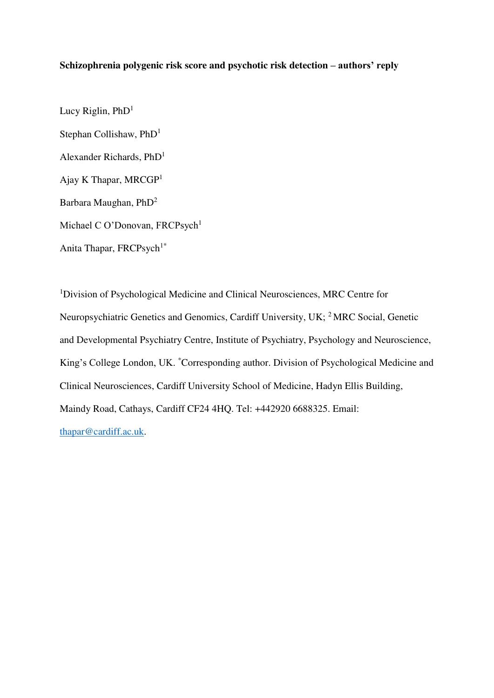## **Schizophrenia polygenic risk score and psychotic risk detection – authors' reply**

Lucy Riglin,  $PhD<sup>1</sup>$ Stephan Collishaw, PhD<sup>1</sup> Alexander Richards, PhD<sup>1</sup> Ajay K Thapar, MRCGP<sup>1</sup> Barbara Maughan, PhD<sup>2</sup> Michael C O'Donovan, FRCPsych<sup>1</sup> Anita Thapar, FRCPsych<sup>1\*</sup>

<sup>1</sup>Division of Psychological Medicine and Clinical Neurosciences, MRC Centre for Neuropsychiatric Genetics and Genomics, Cardiff University, UK; <sup>2</sup>MRC Social, Genetic and Developmental Psychiatry Centre, Institute of Psychiatry, Psychology and Neuroscience, King's College London, UK. \*Corresponding author. Division of Psychological Medicine and Clinical Neurosciences, Cardiff University School of Medicine, Hadyn Ellis Building, Maindy Road, Cathays, Cardiff CF24 4HQ. Tel: +442920 6688325. Email: [thapar@cardiff.ac.uk.](mailto:thapar@cardiff.ac.uk)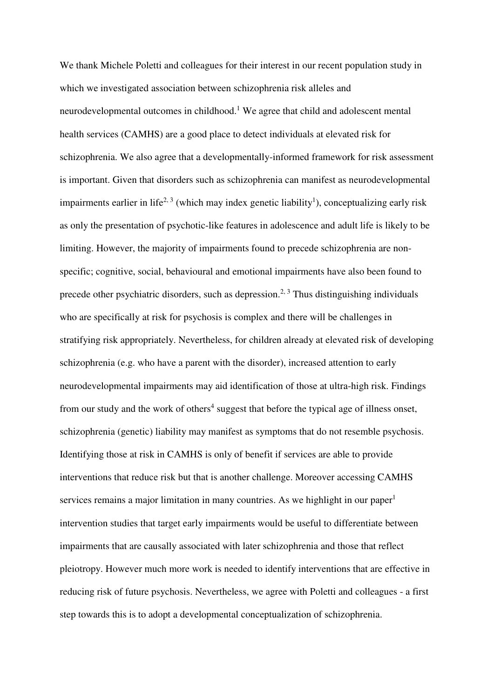We thank Michele Poletti and colleagues for their interest in our recent population study in which we investigated association between schizophrenia risk alleles and neurodevelopmental outcomes in childhood.<sup>1</sup> We agree that child and adolescent mental health services (CAMHS) are a good place to detect individuals at elevated risk for schizophrenia. We also agree that a developmentally-informed framework for risk assessment is important. Given that disorders such as schizophrenia can manifest as neurodevelopmental impairments earlier in life<sup>2, 3</sup> (which may index genetic liability<sup>1</sup>), conceptualizing early risk as only the presentation of psychotic-like features in adolescence and adult life is likely to be limiting. However, the majority of impairments found to precede schizophrenia are nonspecific; cognitive, social, behavioural and emotional impairments have also been found to precede other psychiatric disorders, such as depression.<sup>2, 3</sup> Thus distinguishing individuals who are specifically at risk for psychosis is complex and there will be challenges in stratifying risk appropriately. Nevertheless, for children already at elevated risk of developing schizophrenia (e.g. who have a parent with the disorder), increased attention to early neurodevelopmental impairments may aid identification of those at ultra-high risk. Findings from our study and the work of others<sup>4</sup> suggest that before the typical age of illness onset, schizophrenia (genetic) liability may manifest as symptoms that do not resemble psychosis. Identifying those at risk in CAMHS is only of benefit if services are able to provide interventions that reduce risk but that is another challenge. Moreover accessing CAMHS services remains a major limitation in many countries. As we highlight in our paper<sup>1</sup> intervention studies that target early impairments would be useful to differentiate between impairments that are causally associated with later schizophrenia and those that reflect pleiotropy. However much more work is needed to identify interventions that are effective in reducing risk of future psychosis. Nevertheless, we agree with Poletti and colleagues - a first step towards this is to adopt a developmental conceptualization of schizophrenia.